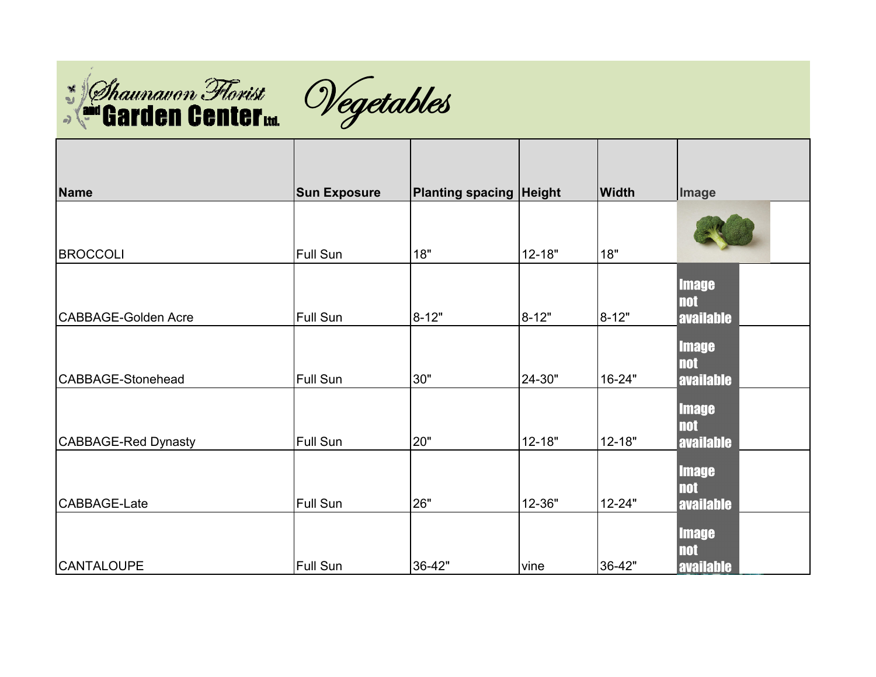



| <b>Name</b>         | <b>Sun Exposure</b> | <b>Planting spacing Height</b> |            | <b>Width</b> | <b>Image</b>                                   |
|---------------------|---------------------|--------------------------------|------------|--------------|------------------------------------------------|
| <b>BROCCOLI</b>     | Full Sun            | 18"                            | $12 - 18"$ | 18"          |                                                |
| CABBAGE-Golden Acre | Full Sun            | $8 - 12"$                      | $8 - 12"$  | $8 - 12"$    | <b>Image</b><br><b>not</b><br><b>available</b> |
| CABBAGE-Stonehead   | Full Sun            | 30"                            | 24-30"     | 16-24"       | <b>Image</b><br><b>not</b><br><b>available</b> |
| CABBAGE-Red Dynasty | Full Sun            | 20"                            | $12 - 18"$ | $12 - 18"$   | <b>Image</b><br><b>not</b><br><b>available</b> |
| CABBAGE-Late        | Full Sun            | 26"                            | 12-36"     | 12-24"       | <b>Image</b><br><b>not</b><br><b>available</b> |
| <b>CANTALOUPE</b>   | Full Sun            | 36-42"                         | vine       | 36-42"       | <b>Image</b><br><b>not</b><br><b>available</b> |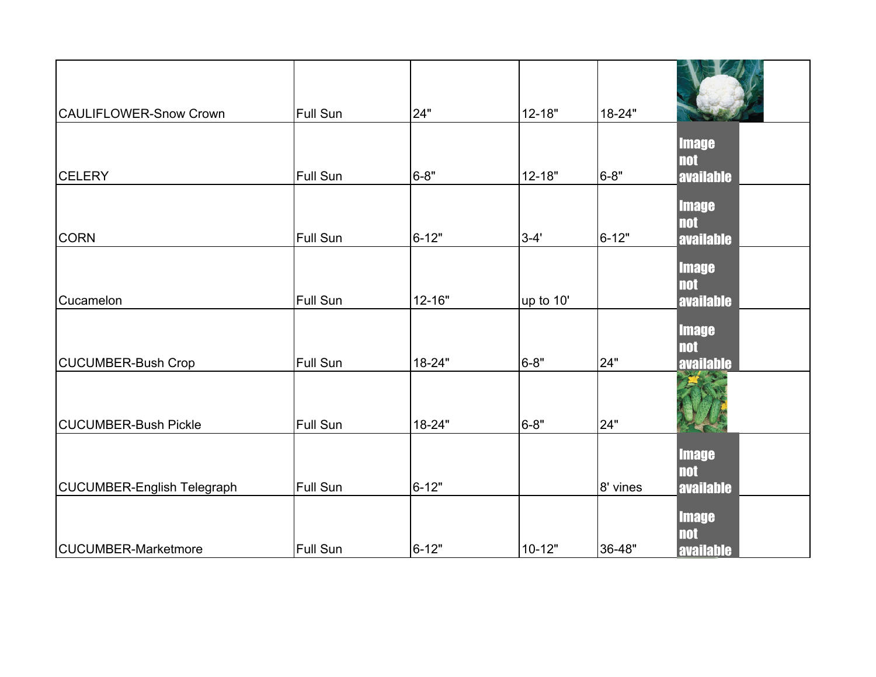| <b>CAULIFLOWER-Snow Crown</b>     | <b>Full Sun</b> | 24"       | 12-18"     | 18-24"   |                                                |
|-----------------------------------|-----------------|-----------|------------|----------|------------------------------------------------|
|                                   |                 |           |            |          | <b>Image</b>                                   |
| <b>CELERY</b>                     | <b>Full Sun</b> | $6 - 8"$  | $12 - 18"$ | $6 - 8"$ | <b>not</b><br>available                        |
| <b>CORN</b>                       | <b>Full Sun</b> | $6 - 12"$ | $3 - 4'$   | 6-12"    | <b>Image</b><br><b>not</b><br><b>available</b> |
| Cucamelon                         | <b>Full Sun</b> | 12-16"    | up to 10'  |          | <b>Image</b><br><b>not</b><br><b>available</b> |
| CUCUMBER-Bush Crop                | <b>Full Sun</b> | 18-24"    | $6 - 8"$   | 24"      | <b>Image</b><br><b>not</b><br><b>available</b> |
| <b>CUCUMBER-Bush Pickle</b>       | <b>Full Sun</b> | 18-24"    | $6 - 8"$   | 24"      |                                                |
| <b>CUCUMBER-English Telegraph</b> | Full Sun        | $6 - 12"$ |            | 8' vines | <b>Image</b><br><b>not</b><br><b>available</b> |
| <b>CUCUMBER-Marketmore</b>        | Full Sun        | $6 - 12"$ | $10 - 12"$ | 36-48"   | <b>Image</b><br><b>not</b><br><b>available</b> |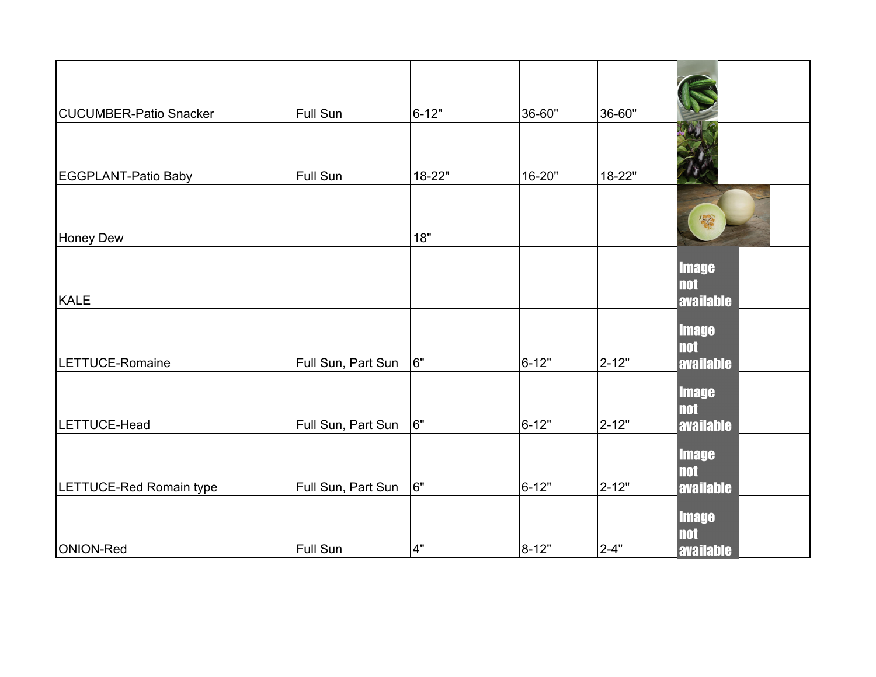| <b>CUCUMBER-Patio Snacker</b> | <b>Full Sun</b>    | $6 - 12"$ | 36-60"    | 36-60"    |                                                |
|-------------------------------|--------------------|-----------|-----------|-----------|------------------------------------------------|
| EGGPLANT-Patio Baby           | Full Sun           | 18-22"    | 16-20"    | 18-22"    |                                                |
| <b>Honey Dew</b>              |                    | 18"       |           |           | 家                                              |
| <b>KALE</b>                   |                    |           |           |           | <b>Image</b><br><b>not</b><br><b>available</b> |
| LETTUCE-Romaine               | Full Sun, Part Sun | l6"       | $6 - 12"$ | $2 - 12"$ | <b>Image</b><br><b>not</b><br>available        |
| LETTUCE-Head                  | Full Sun, Part Sun | 6"        | $6 - 12"$ | 2-12"     | <b>Image</b><br><b>not</b><br><b>available</b> |
| LETTUCE-Red Romain type       | Full Sun, Part Sun | 6"        | $6 - 12"$ | $2 - 12"$ | <b>Image</b><br><b>not</b><br><b>available</b> |
| ONION-Red                     | <b>Full Sun</b>    | 4"        | 8-12"     | $2 - 4"$  | <b>Image</b><br><b>not</b><br><b>available</b> |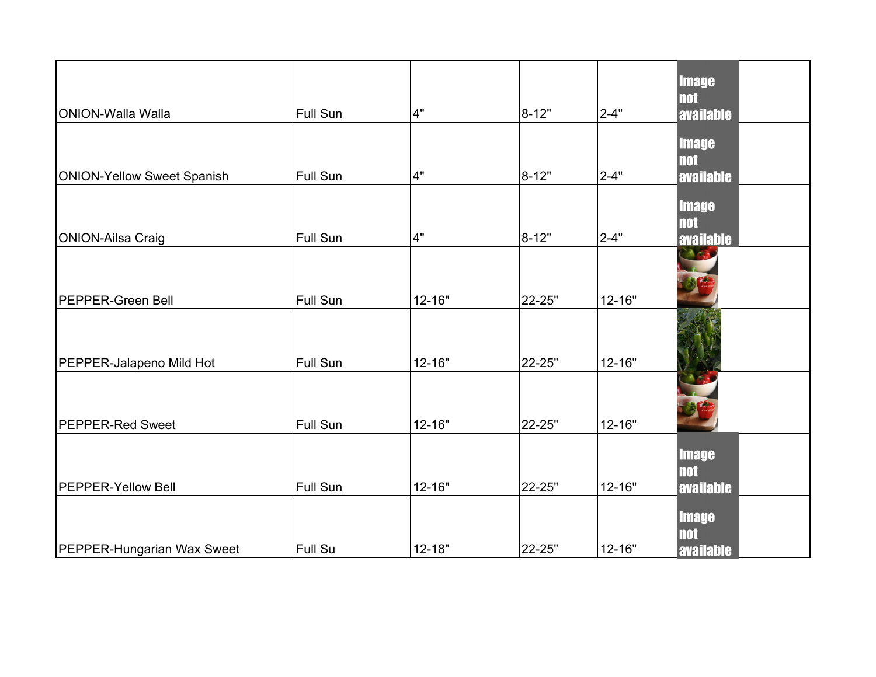| ONION-Walla Walla                 | <b>Full Sun</b> | 4"         | 8-12"     | $2 - 4"$ | <b>Image</b><br><b>not</b><br><b>available</b> |
|-----------------------------------|-----------------|------------|-----------|----------|------------------------------------------------|
| <b>ONION-Yellow Sweet Spanish</b> | Full Sun        | 4"         | $8 - 12"$ | $2 - 4"$ | <b>Image</b><br><b>not</b><br><b>available</b> |
| ONION-Ailsa Craig                 | Full Sun        | 4"         | 8-12"     | $2 - 4"$ | <b>Image</b><br><b>not</b><br><b>available</b> |
| <b>PEPPER-Green Bell</b>          | <b>Full Sun</b> | 12-16"     | 22-25"    | 12-16"   | $\mathcal{M}(\mathcal{P}_\mathcal{A})$         |
| PEPPER-Jalapeno Mild Hot          | Full Sun        | 12-16"     | 22-25"    | 12-16"   |                                                |
| <b>PEPPER-Red Sweet</b>           | <b>Full Sun</b> | 12-16"     | 22-25"    | 12-16"   |                                                |
| <b>PEPPER-Yellow Bell</b>         | <b>Full Sun</b> | $12 - 16"$ | 22-25"    | 12-16"   | <b>Image</b><br><b>not</b><br><b>available</b> |
| PEPPER-Hungarian Wax Sweet        | <b>Full Su</b>  | $12 - 18"$ | 22-25"    | 12-16"   | <b>Image</b><br><b>not</b><br><b>available</b> |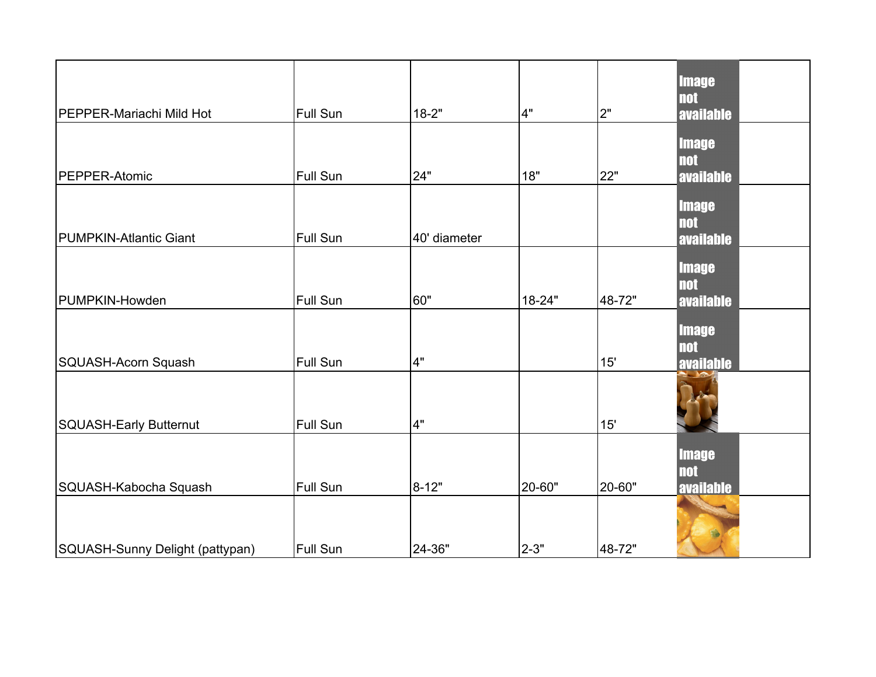| PEPPER-Mariachi Mild Hot        | <b>Full Sun</b> | $18 - 2"$    | 4"       | 2"     | <b>Image</b><br><b>not</b><br><b>available</b> |
|---------------------------------|-----------------|--------------|----------|--------|------------------------------------------------|
| PEPPER-Atomic                   | <b>Full Sun</b> | 24"          | 18"      | 22"    | <b>Image</b><br><b>not</b><br>available        |
| <b>PUMPKIN-Atlantic Giant</b>   | Full Sun        | 40' diameter |          |        | <b>Image</b><br><b>not</b><br><b>available</b> |
| PUMPKIN-Howden                  | Full Sun        | 60"          | 18-24"   | 48-72" | <b>Image</b><br><b>not</b><br><b>available</b> |
| SQUASH-Acorn Squash             | <b>Full Sun</b> | 4"           |          | 15'    | <b>Image</b><br><b>not</b><br>available        |
| SQUASH-Early Butternut          | Full Sun        | 4"           |          | 15'    |                                                |
| SQUASH-Kabocha Squash           | <b>Full Sun</b> | 8-12"        | 20-60"   | 20-60" | <b>Image</b><br><b>not</b><br><b>available</b> |
| SQUASH-Sunny Delight (pattypan) | <b>Full Sun</b> | 24-36"       | $2 - 3"$ | 48-72" |                                                |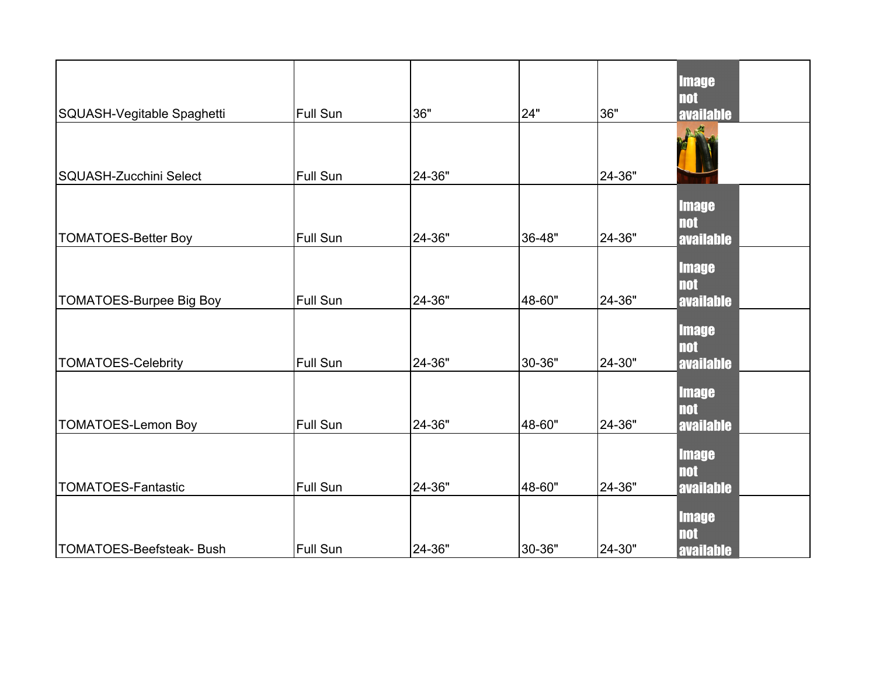| SQUASH-Vegitable Spaghetti      | <b>Full Sun</b> | 36"    | 24"    | 36"    | <b>Image</b><br><b>not</b><br><b>available</b> |
|---------------------------------|-----------------|--------|--------|--------|------------------------------------------------|
| SQUASH-Zucchini Select          | <b>Full Sun</b> | 24-36" |        | 24-36" |                                                |
| <b>TOMATOES-Better Boy</b>      | <b>Full Sun</b> | 24-36" | 36-48" | 24-36" | <b>Image</b><br><b>not</b><br><b>available</b> |
| <b>TOMATOES-Burpee Big Boy</b>  | <b>Full Sun</b> | 24-36" | 48-60" | 24-36" | <b>Image</b><br><b>not</b><br><b>available</b> |
| <b>TOMATOES-Celebrity</b>       | <b>Full Sun</b> | 24-36" | 30-36" | 24-30" | <b>Image</b><br><b>not</b><br><b>available</b> |
| <b>TOMATOES-Lemon Boy</b>       | Full Sun        | 24-36" | 48-60" | 24-36" | <b>Image</b><br><b>not</b><br><b>available</b> |
| <b>TOMATOES-Fantastic</b>       | Full Sun        | 24-36" | 48-60" | 24-36" | <b>Image</b><br><b>not</b><br>available        |
| <b>TOMATOES-Beefsteak- Bush</b> | Full Sun        | 24-36" | 30-36" | 24-30" | <b>Image</b><br><b>not</b><br><b>available</b> |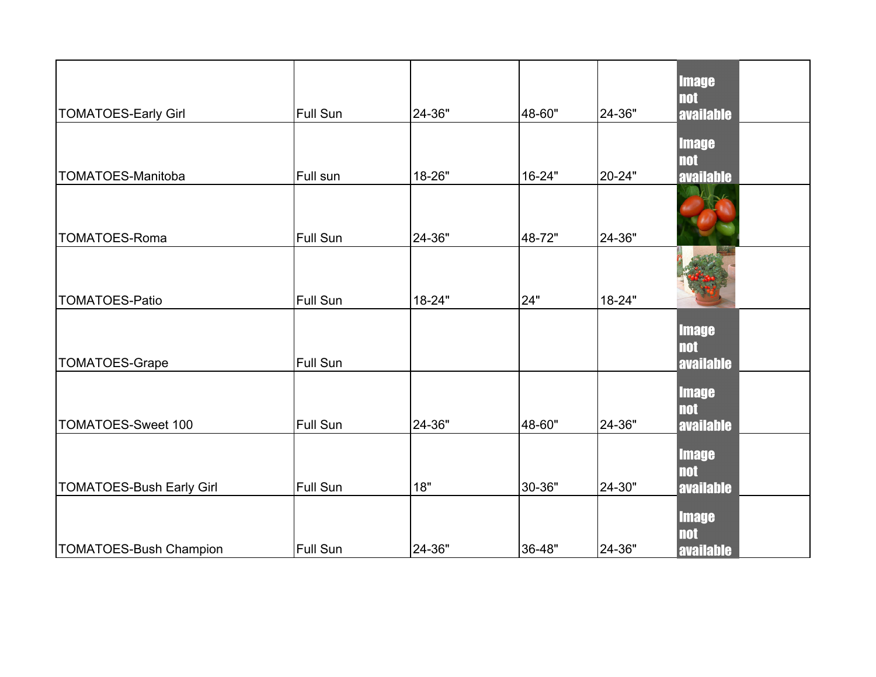| <b>TOMATOES-Early Girl</b>      | <b>Full Sun</b> | 24-36" | 48-60" | 24-36" | <b>Image</b><br><b>not</b><br><b>available</b> |
|---------------------------------|-----------------|--------|--------|--------|------------------------------------------------|
| TOMATOES-Manitoba               | Full sun        | 18-26" | 16-24" | 20-24" | <b>Image</b><br><b>not</b><br><b>available</b> |
| <b>TOMATOES-Roma</b>            | Full Sun        | 24-36" | 48-72" | 24-36" |                                                |
| <b>TOMATOES-Patio</b>           | <b>Full Sun</b> | 18-24" | 24"    | 18-24" |                                                |
| <b>TOMATOES-Grape</b>           | Full Sun        |        |        |        | <b>Image</b><br><b>not</b><br><b>available</b> |
| TOMATOES-Sweet 100              | Full Sun        | 24-36" | 48-60" | 24-36" | <b>Image</b><br><b>not</b><br><b>available</b> |
| <b>TOMATOES-Bush Early Girl</b> | <b>Full Sun</b> | 18"    | 30-36" | 24-30" | <b>Image</b><br><b>not</b><br><b>available</b> |
| <b>TOMATOES-Bush Champion</b>   | <b>Full Sun</b> | 24-36" | 36-48" | 24-36" | <b>Image</b><br><b>not</b><br><b>available</b> |